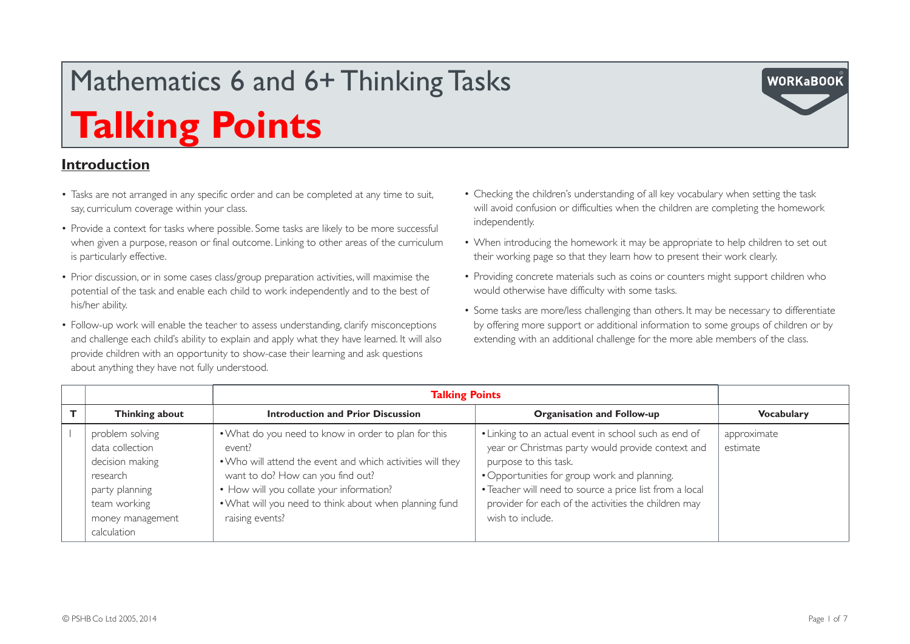#### **Introduction**

- Tasks are not arranged in any specific order and can be completed at any time to suit, say, curriculum coverage within your class.
- Provide a context for tasks where possible. Some tasks are likely to be more successful when given a purpose, reason or final outcome. Linking to other areas of the curriculum is particularly effective.
- Prior discussion, or in some cases class/group preparation activities, will maximise the potential of the task and enable each child to work independently and to the best of his/her ability.
- Follow-up work will enable the teacher to assess understanding, clarify misconceptions and challenge each child's ability to explain and apply what they have learned. It will also provide children with an opportunity to show-case their learning and ask questions about anything they have not fully understood.
- Checking the children's understanding of all key vocabulary when setting the task will avoid confusion or difficulties when the children are completing the homework independently.
- When introducing the homework it may be appropriate to help children to set out their working page so that they learn how to present their work clearly.
- Providing concrete materials such as coins or counters might support children who would otherwise have difficulty with some tasks.
- Some tasks are more/less challenging than others. It may be necessary to differentiate by offering more support or additional information to some groups of children or by extending with an additional challenge for the more able members of the class.

|                                                                                                                                        | <b>Talking Points</b>                                                                                                                                                                                                                                                                      |                                                                                                                                                                                                                                                                                                                            |                         |
|----------------------------------------------------------------------------------------------------------------------------------------|--------------------------------------------------------------------------------------------------------------------------------------------------------------------------------------------------------------------------------------------------------------------------------------------|----------------------------------------------------------------------------------------------------------------------------------------------------------------------------------------------------------------------------------------------------------------------------------------------------------------------------|-------------------------|
| Thinking about                                                                                                                         | <b>Introduction and Prior Discussion</b>                                                                                                                                                                                                                                                   | <b>Organisation and Follow-up</b>                                                                                                                                                                                                                                                                                          | <b>Vocabulary</b>       |
| problem solving<br>data collection<br>decision making<br>research<br>party planning<br>team working<br>money management<br>calculation | . What do you need to know in order to plan for this<br>event?<br>. Who will attend the event and which activities will they<br>want to do? How can you find out?<br>• How will you collate your information?<br>. What will you need to think about when planning fund<br>raising events? | • Linking to an actual event in school such as end of<br>year or Christmas party would provide context and<br>purpose to this task.<br>• Opportunities for group work and planning.<br>• Teacher will need to source a price list from a local<br>provider for each of the activities the children may<br>wish to include. | approximate<br>estimate |

**WORKaBOOI**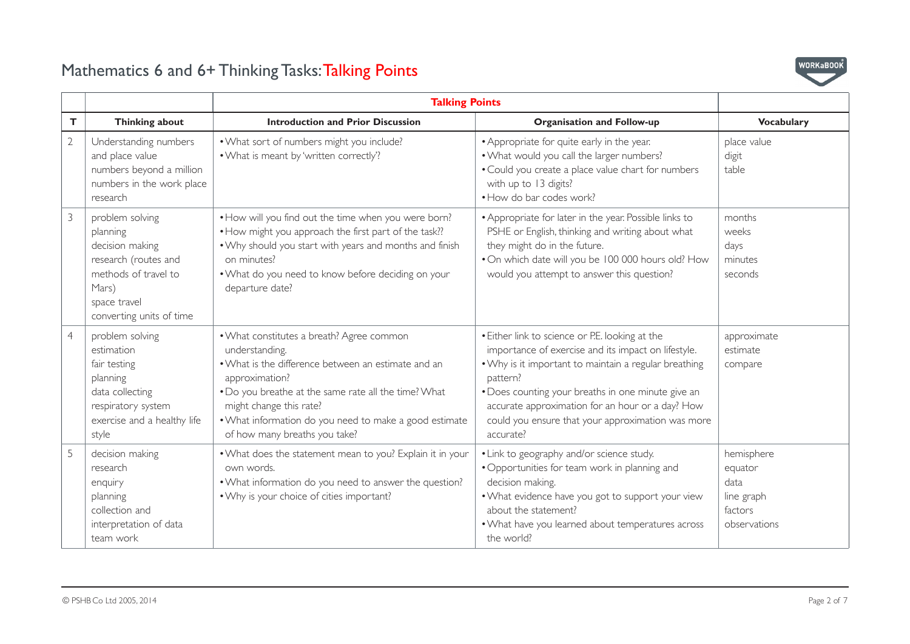

|                |                                                                                                                                                     | <b>Talking Points</b>                                                                                                                                                                                                                                                                                              |                                                                                                                                                                                                                                                                                                                                                         |                                                                        |
|----------------|-----------------------------------------------------------------------------------------------------------------------------------------------------|--------------------------------------------------------------------------------------------------------------------------------------------------------------------------------------------------------------------------------------------------------------------------------------------------------------------|---------------------------------------------------------------------------------------------------------------------------------------------------------------------------------------------------------------------------------------------------------------------------------------------------------------------------------------------------------|------------------------------------------------------------------------|
| T.             | Thinking about                                                                                                                                      | <b>Introduction and Prior Discussion</b>                                                                                                                                                                                                                                                                           | <b>Organisation and Follow-up</b>                                                                                                                                                                                                                                                                                                                       | <b>Vocabulary</b>                                                      |
| $\overline{2}$ | Understanding numbers<br>and place value<br>numbers beyond a million<br>numbers in the work place<br>research                                       | . What sort of numbers might you include?<br>. What is meant by 'written correctly'?                                                                                                                                                                                                                               | • Appropriate for quite early in the year.<br>. What would you call the larger numbers?<br>• Could you create a place value chart for numbers<br>with up to 13 digits?<br>• How do bar codes work?                                                                                                                                                      | place value<br>digit<br>table                                          |
| 3              | problem solving<br>planning<br>decision making<br>research (routes and<br>methods of travel to<br>Mars)<br>space travel<br>converting units of time | • How will you find out the time when you were born?<br>• How might you approach the first part of the task??<br>. Why should you start with years and months and finish<br>on minutes?<br>. What do you need to know before deciding on your<br>departure date?                                                   | • Appropriate for later in the year. Possible links to<br>PSHE or English, thinking and writing about what<br>they might do in the future.<br>. On which date will you be 100 000 hours old? How<br>would you attempt to answer this question?                                                                                                          | months<br>weeks<br>days<br>minutes<br>seconds                          |
| $\overline{4}$ | problem solving<br>estimation<br>fair testing<br>planning<br>data collecting<br>respiratory system<br>exercise and a healthy life<br>style          | • What constitutes a breath? Agree common<br>understanding.<br>• What is the difference between an estimate and an<br>approximation?<br>. Do you breathe at the same rate all the time? What<br>might change this rate?<br>. What information do you need to make a good estimate<br>of how many breaths you take? | • Either link to science or P.E. looking at the<br>importance of exercise and its impact on lifestyle.<br>• Why is it important to maintain a regular breathing<br>pattern?<br>• Does counting your breaths in one minute give an<br>accurate approximation for an hour or a day? How<br>could you ensure that your approximation was more<br>accurate? | approximate<br>estimate<br>compare                                     |
| 5              | decision making<br>research<br>enquiry<br>planning<br>collection and<br>interpretation of data<br>team work                                         | . What does the statement mean to you? Explain it in your<br>own words.<br>. What information do you need to answer the question?<br>. Why is your choice of cities important?                                                                                                                                     | • Link to geography and/or science study.<br>• Opportunities for team work in planning and<br>decision making.<br>. What evidence have you got to support your view<br>about the statement?<br>. What have you learned about temperatures across<br>the world?                                                                                          | hemisphere<br>equator<br>data<br>line graph<br>factors<br>observations |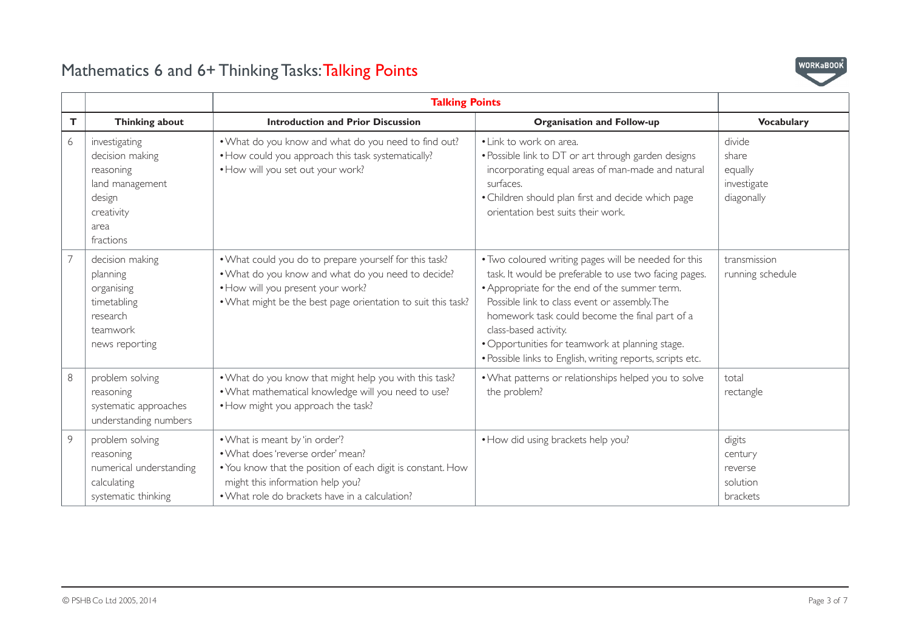

|    |                                                                                                               | <b>Talking Points</b>                                                                                                                                                                                                    |                                                                                                                                                                                                                                                                                                                                                                                                             |                                                         |
|----|---------------------------------------------------------------------------------------------------------------|--------------------------------------------------------------------------------------------------------------------------------------------------------------------------------------------------------------------------|-------------------------------------------------------------------------------------------------------------------------------------------------------------------------------------------------------------------------------------------------------------------------------------------------------------------------------------------------------------------------------------------------------------|---------------------------------------------------------|
| T. | Thinking about                                                                                                | <b>Introduction and Prior Discussion</b>                                                                                                                                                                                 | <b>Organisation and Follow-up</b>                                                                                                                                                                                                                                                                                                                                                                           | <b>Vocabulary</b>                                       |
| 6  | investigating<br>decision making<br>reasoning<br>land management<br>design<br>creativity<br>area<br>fractions | . What do you know and what do you need to find out?<br>• How could you approach this task systematically?<br>• How will you set out your work?                                                                          | • Link to work on area.<br>• Possible link to DT or art through garden designs<br>incorporating equal areas of man-made and natural<br>surfaces.<br>• Children should plan first and decide which page<br>orientation best suits their work.                                                                                                                                                                | divide<br>share<br>equally<br>investigate<br>diagonally |
| 7  | decision making<br>planning<br>organising<br>timetabling<br>research<br>teamwork<br>news reporting            | . What could you do to prepare yourself for this task?<br>. What do you know and what do you need to decide?<br>. How will you present your work?<br>. What might be the best page orientation to suit this task?        | . Two coloured writing pages will be needed for this<br>task. It would be preferable to use two facing pages.<br>• Appropriate for the end of the summer term.<br>Possible link to class event or assembly. The<br>homework task could become the final part of a<br>class-based activity.<br>• Opportunities for teamwork at planning stage.<br>· Possible links to English, writing reports, scripts etc. | transmission<br>running schedule                        |
| 8  | problem solving<br>reasoning<br>systematic approaches<br>understanding numbers                                | . What do you know that might help you with this task?<br>. What mathematical knowledge will you need to use?<br>. How might you approach the task?                                                                      | . What patterns or relationships helped you to solve<br>the problem?                                                                                                                                                                                                                                                                                                                                        | total<br>rectangle                                      |
| 9  | problem solving<br>reasoning<br>numerical understanding<br>calculating<br>systematic thinking                 | . What is meant by 'in order'?<br>• What does 'reverse order' mean?<br>. You know that the position of each digit is constant. How<br>might this information help you?<br>• What role do brackets have in a calculation? | • How did using brackets help you?                                                                                                                                                                                                                                                                                                                                                                          | digits<br>century<br>reverse<br>solution<br>brackets    |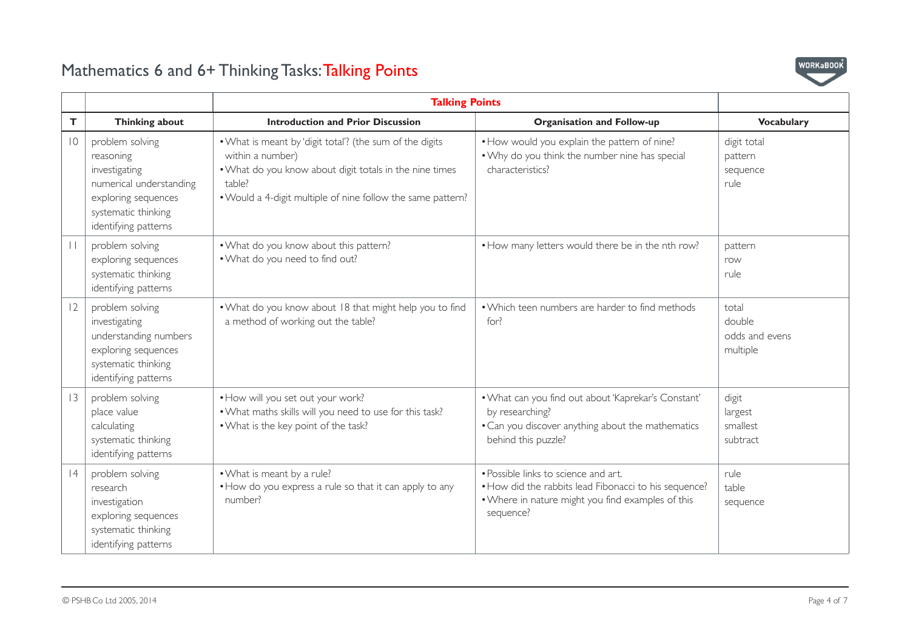

|                 |                                                                                                                                                | <b>Talking Points</b>                                                                                                                                                                                            |                                                                                                                                                                 |                                               |
|-----------------|------------------------------------------------------------------------------------------------------------------------------------------------|------------------------------------------------------------------------------------------------------------------------------------------------------------------------------------------------------------------|-----------------------------------------------------------------------------------------------------------------------------------------------------------------|-----------------------------------------------|
| Т               | Thinking about                                                                                                                                 | <b>Introduction and Prior Discussion</b>                                                                                                                                                                         | <b>Organisation and Follow-up</b>                                                                                                                               | <b>Vocabulary</b>                             |
| $\overline{10}$ | problem solving<br>reasoning<br>investigating<br>numerical understanding<br>exploring sequences<br>systematic thinking<br>identifying patterns | . What is meant by 'digit total'? (the sum of the digits<br>within a number)<br>. What do you know about digit totals in the nine times<br>table?<br>. Would a 4-digit multiple of nine follow the same pattern? | . How would you explain the pattern of nine?<br>. Why do you think the number nine has special<br>characteristics?                                              | digit total<br>pattern<br>sequence<br>rule    |
| $\perp$         | problem solving<br>exploring sequences<br>systematic thinking<br>identifying patterns                                                          | . What do you know about this pattern?<br>. What do you need to find out?                                                                                                                                        | • How many letters would there be in the nth row?                                                                                                               | pattern<br>row<br>rule                        |
| 12              | problem solving<br>investigating<br>understanding numbers<br>exploring sequences<br>systematic thinking<br>identifying patterns                | . What do you know about 18 that might help you to find<br>a method of working out the table?                                                                                                                    | • Which teen numbers are harder to find methods<br>for?                                                                                                         | total<br>double<br>odds and evens<br>multiple |
| 13              | problem solving<br>place value<br>calculating<br>systematic thinking<br>identifying patterns                                                   | . How will you set out your work?<br>. What maths skills will you need to use for this task?<br>. What is the key point of the task?                                                                             | . What can you find out about 'Kaprekar's Constant'<br>by researching?<br>• Can you discover anything about the mathematics<br>behind this puzzle?              | digit<br>largest<br>smallest<br>subtract      |
| 4               | problem solving<br>research<br>investigation<br>exploring sequences<br>systematic thinking<br>identifying patterns                             | . What is meant by a rule?<br>• How do you express a rule so that it can apply to any<br>number?                                                                                                                 | • Possible links to science and art.<br>• How did the rabbits lead Fibonacci to his sequence?<br>. Where in nature might you find examples of this<br>sequence? | rule<br>table<br>sequence                     |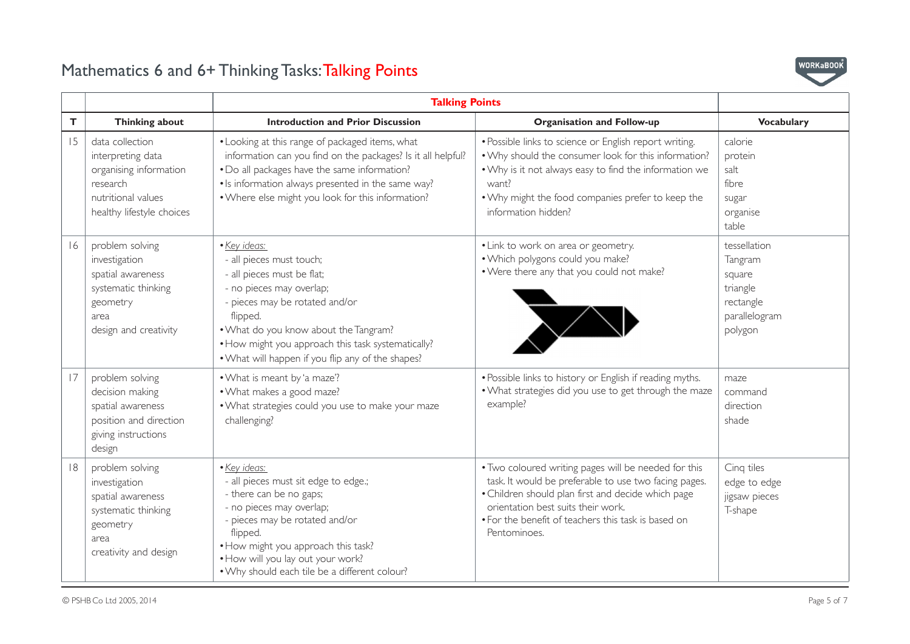

|    |                                                                                                                               | <b>Talking Points</b>                                                                                                                                                                                                                                                                                |                                                                                                                                                                                                                                                                                  |                                                                                        |
|----|-------------------------------------------------------------------------------------------------------------------------------|------------------------------------------------------------------------------------------------------------------------------------------------------------------------------------------------------------------------------------------------------------------------------------------------------|----------------------------------------------------------------------------------------------------------------------------------------------------------------------------------------------------------------------------------------------------------------------------------|----------------------------------------------------------------------------------------|
| T. | Thinking about                                                                                                                | <b>Introduction and Prior Discussion</b>                                                                                                                                                                                                                                                             | <b>Organisation and Follow-up</b>                                                                                                                                                                                                                                                | <b>Vocabulary</b>                                                                      |
| 15 | data collection<br>interpreting data<br>organising information<br>research<br>nutritional values<br>healthy lifestyle choices | • Looking at this range of packaged items, what<br>information can you find on the packages? Is it all helpful?<br>. Do all packages have the same information?<br>• Is information always presented in the same way?<br>. Where else might you look for this information?                           | · Possible links to science or English report writing.<br>. Why should the consumer look for this information?<br>. Why is it not always easy to find the information we<br>want?<br>. Why might the food companies prefer to keep the<br>information hidden?                    | calorie<br>protein<br>salt<br>fibre<br>sugar<br>organise<br>table                      |
| 16 | problem solving<br>investigation<br>spatial awareness<br>systematic thinking<br>geometry<br>area<br>design and creativity     | · Key ideas:<br>- all pieces must touch;<br>- all pieces must be flat;<br>- no pieces may overlap;<br>- pieces may be rotated and/or<br>flipped.<br>. What do you know about the Tangram?<br>• How might you approach this task systematically?<br>. What will happen if you flip any of the shapes? | • Link to work on area or geometry.<br>. Which polygons could you make?<br>. Were there any that you could not make?                                                                                                                                                             | tessellation<br>Tangram<br>square<br>triangle<br>rectangle<br>parallelogram<br>polygon |
| 17 | problem solving<br>decision making<br>spatial awareness<br>position and direction<br>giving instructions<br>design            | • What is meant by 'a maze'?<br>. What makes a good maze?<br>. What strategies could you use to make your maze<br>challenging?                                                                                                                                                                       | . Possible links to history or English if reading myths.<br>. What strategies did you use to get through the maze<br>example?                                                                                                                                                    | maze<br>command<br>direction<br>shade                                                  |
| 8  | problem solving<br>investigation<br>spatial awareness<br>systematic thinking<br>geometry<br>area<br>creativity and design     | · Key ideas:<br>- all pieces must sit edge to edge.;<br>- there can be no gaps;<br>- no pieces may overlap;<br>- pieces may be rotated and/or<br>flipped.<br>. How might you approach this task?<br>. How will you lay out your work?<br>. Why should each tile be a different colour?               | . Two coloured writing pages will be needed for this<br>task. It would be preferable to use two facing pages.<br>• Children should plan first and decide which page<br>orientation best suits their work.<br>• For the benefit of teachers this task is based on<br>Pentominoes. | Cinq tiles<br>edge to edge<br>jigsaw pieces<br>T-shape                                 |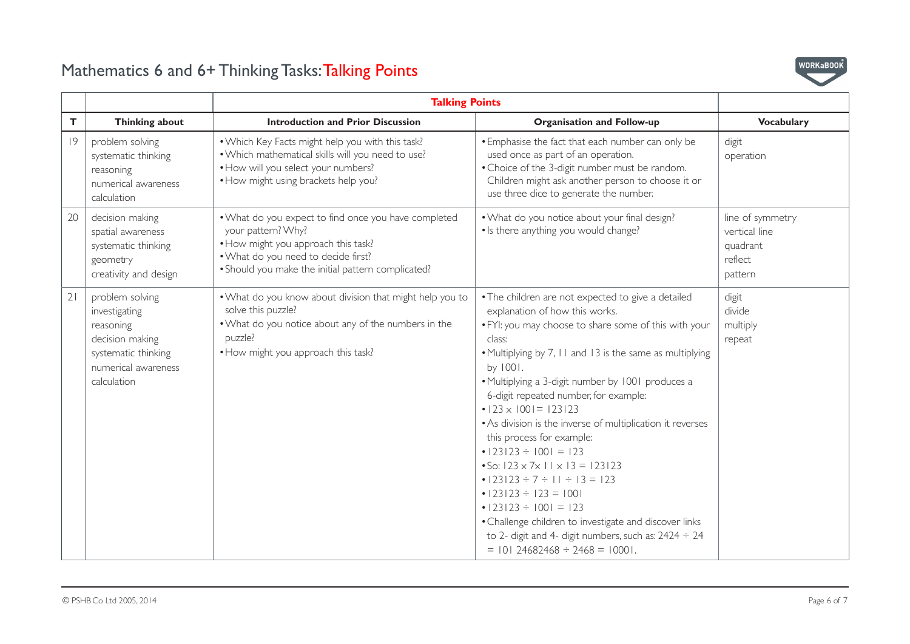

|    |                                                                                                                               | <b>Talking Points</b>                                                                                                                                                                                          |                                                                                                                                                                                                                                                                                                                                                                                                                                                                                                                                                                                                                                                                                                                                                                                                                   |                                                                     |
|----|-------------------------------------------------------------------------------------------------------------------------------|----------------------------------------------------------------------------------------------------------------------------------------------------------------------------------------------------------------|-------------------------------------------------------------------------------------------------------------------------------------------------------------------------------------------------------------------------------------------------------------------------------------------------------------------------------------------------------------------------------------------------------------------------------------------------------------------------------------------------------------------------------------------------------------------------------------------------------------------------------------------------------------------------------------------------------------------------------------------------------------------------------------------------------------------|---------------------------------------------------------------------|
| T  | <b>Thinking about</b>                                                                                                         | <b>Introduction and Prior Discussion</b>                                                                                                                                                                       | <b>Organisation and Follow-up</b>                                                                                                                                                                                                                                                                                                                                                                                                                                                                                                                                                                                                                                                                                                                                                                                 | <b>Vocabulary</b>                                                   |
| 9  | problem solving<br>systematic thinking<br>reasoning<br>numerical awareness<br>calculation                                     | . Which Key Facts might help you with this task?<br>. Which mathematical skills will you need to use?<br>• How will you select your numbers?<br>• How might using brackets help you?                           | . Emphasise the fact that each number can only be<br>used once as part of an operation.<br>• Choice of the 3-digit number must be random.<br>Children might ask another person to choose it or<br>use three dice to generate the number.                                                                                                                                                                                                                                                                                                                                                                                                                                                                                                                                                                          | digit<br>operation                                                  |
| 20 | decision making<br>spatial awareness<br>systematic thinking<br>geometry<br>creativity and design                              | . What do you expect to find once you have completed<br>your pattern? Why?<br>. How might you approach this task?<br>. What do you need to decide first?<br>. Should you make the initial pattern complicated? | . What do you notice about your final design?<br>• Is there anything you would change?                                                                                                                                                                                                                                                                                                                                                                                                                                                                                                                                                                                                                                                                                                                            | line of symmetry<br>vertical line<br>quadrant<br>reflect<br>pattern |
| 21 | problem solving<br>investigating<br>reasoning<br>decision making<br>systematic thinking<br>numerical awareness<br>calculation | . What do you know about division that might help you to<br>solve this puzzle?<br>. What do you notice about any of the numbers in the<br>puzzle?<br>. How might you approach this task?                       | • The children are not expected to give a detailed<br>explanation of how this works.<br>. FYI: you may choose to share some of this with your<br>class:<br>• Multiplying by 7, 11 and 13 is the same as multiplying<br>by 1001.<br>• Multiplying a 3-digit number by 1001 produces a<br>6-digit repeated number, for example:<br>$\cdot$  23 × 1001 = 123123<br>• As division is the inverse of multiplication it reverses<br>this process for example:<br>$\cdot$  23 23 ÷  00  =  23<br>• So: $123 \times 7 \times 11 \times 13 = 123123$<br>• $ 23 23 \div 7 \div 1  \div 13 = 123$<br>$\cdot$  23 23 ÷  23 =  00 <br>$\cdot$  23 23 ÷  00  =  23<br>• Challenge children to investigate and discover links<br>to 2- digit and 4- digit numbers, such as: $2424 \div 24$<br>$= 10124682468 \div 2468 = 10001.$ | digit<br>divide<br>multiply<br>repeat                               |